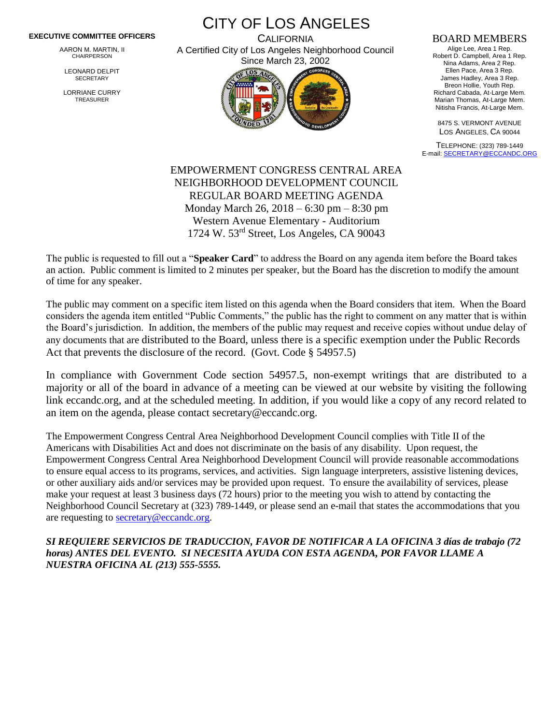## **EXECUTIVE COMMITTEE OFFICERS**

AARON M. MARTIN, II CHAIRPERSON

LEONARD DELPIT **SECRETARY** 

LORRIANE CURRY TREASURER

CITY OF LOS ANGELES **CALIFORNIA** A Certified City of Los Angeles Neighborhood Council



## BOARD MEMBERS

Alige Lee, Area 1 Rep. Robert D. Campbell, Area 1 Rep. Nina Adams, Area 2 Rep. Ellen Pace, Area 3 Rep. James Hadley, Area 3 Rep. Breon Hollie, Youth Rep. Richard Cabada, At-Large Mem. Marian Thomas, At-Large Mem. Nitisha Francis, At-Large Mem.

8475 S. VERMONT AVENUE LOS ANGELES, CA 90044

TELEPHONE: (323) 789-1449 E-mail[: SECRETARY@ECCANDC.ORG](mailto:SECRETARY@ECCANDC.ORG)

## EMPOWERMENT CONGRESS CENTRAL AREA NEIGHBORHOOD DEVELOPMENT COUNCIL REGULAR BOARD MEETING AGENDA Monday March 26, 2018 – 6:30 pm – 8:30 pm Western Avenue Elementary - Auditorium 1724 W. 53rd Street, Los Angeles, CA 90043

The public is requested to fill out a "**Speaker Card**" to address the Board on any agenda item before the Board takes an action. Public comment is limited to 2 minutes per speaker, but the Board has the discretion to modify the amount of time for any speaker.

The public may comment on a specific item listed on this agenda when the Board considers that item. When the Board considers the agenda item entitled "Public Comments," the public has the right to comment on any matter that is within the Board's jurisdiction. In addition, the members of the public may request and receive copies without undue delay of any documents that are distributed to the Board, unless there is a specific exemption under the Public Records Act that prevents the disclosure of the record. (Govt. Code § 54957.5)

In compliance with Government Code section 54957.5, non-exempt writings that are distributed to a majority or all of the board in advance of a meeting can be viewed at our website by visiting the following link eccandc.org, and at the scheduled meeting. In addition, if you would like a copy of any record related to an item on the agenda, please contact secretary@eccandc.org.

The Empowerment Congress Central Area Neighborhood Development Council complies with Title II of the Americans with Disabilities Act and does not discriminate on the basis of any disability. Upon request, the Empowerment Congress Central Area Neighborhood Development Council will provide reasonable accommodations to ensure equal access to its programs, services, and activities. Sign language interpreters, assistive listening devices, or other auxiliary aids and/or services may be provided upon request. To ensure the availability of services, please make your request at least 3 business days (72 hours) prior to the meeting you wish to attend by contacting the Neighborhood Council Secretary at (323) 789-1449, or please send an e-mail that states the accommodations that you are requesting to [secretary@eccandc.org.](mailto:secretary@eccandc.org)

*SI REQUIERE SERVICIOS DE TRADUCCION, FAVOR DE NOTIFICAR A LA OFICINA 3 días de trabajo (72 horas) ANTES DEL EVENTO. SI NECESITA AYUDA CON ESTA AGENDA, POR FAVOR LLAME A NUESTRA OFICINA AL (213) 555-5555.*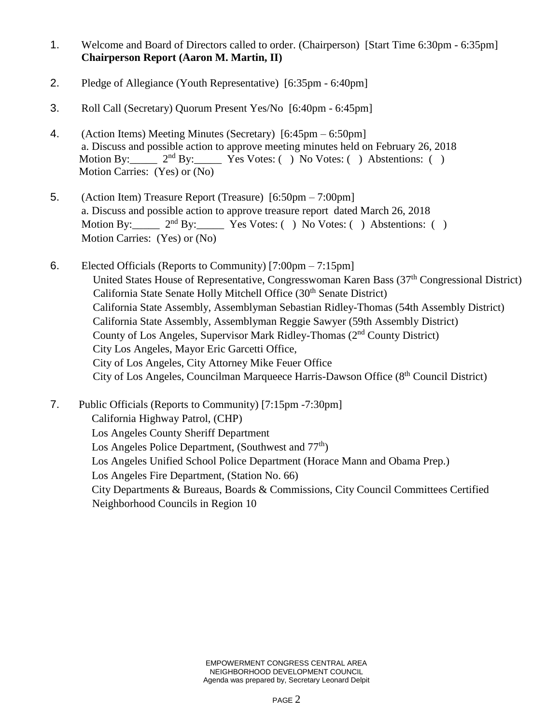- 1. Welcome and Board of Directors called to order. (Chairperson) [Start Time 6:30pm 6:35pm] **Chairperson Report (Aaron M. Martin, II)**
- 2. Pledge of Allegiance (Youth Representative) [6:35pm 6:40pm]
- 3. Roll Call (Secretary) Quorum Present Yes/No [6:40pm 6:45pm]
- 4. (Action Items) Meeting Minutes (Secretary) [6:45pm 6:50pm] a. Discuss and possible action to approve meeting minutes held on February 26, 2018<br>Motion By:  $2^{nd}$  By: Yes Votes: () No Votes: () Abstentions: ()  $2<sup>nd</sup> By:$  Yes Votes: ( ) No Votes: ( ) Abstentions: ( ) Motion Carries: (Yes) or (No)
- 5. (Action Item) Treasure Report (Treasure) [6:50pm 7:00pm] a. Discuss and possible action to approve treasure report dated March 26, 2018 Motion By:  $2<sup>nd</sup> By: Yes Votes: () No Votes: () Abstentions: ()$ Motion Carries: (Yes) or (No)
- 6. Elected Officials (Reports to Community) [7:00pm 7:15pm] United States House of Representative, Congresswoman Karen Bass (37<sup>th</sup> Congressional District) California State Senate Holly Mitchell Office (30<sup>th</sup> Senate District) California State Assembly, Assemblyman Sebastian Ridley-Thomas (54th Assembly District) California State Assembly, Assemblyman Reggie Sawyer (59th Assembly District) County of Los Angeles, Supervisor Mark Ridley-Thomas (2nd County District) City Los Angeles, Mayor Eric Garcetti Office, City of Los Angeles, City Attorney Mike Feuer Office City of Los Angeles, Councilman Marqueece Harris-Dawson Office (8th Council District)

7. Public Officials (Reports to Community) [7:15pm -7:30pm] California Highway Patrol, (CHP) Los Angeles County Sheriff Department Los Angeles Police Department, (Southwest and  $77<sup>th</sup>$ ) Los Angeles Unified School Police Department (Horace Mann and Obama Prep.) Los Angeles Fire Department, (Station No. 66) City Departments & Bureaus, Boards & Commissions, City Council Committees Certified Neighborhood Councils in Region 10